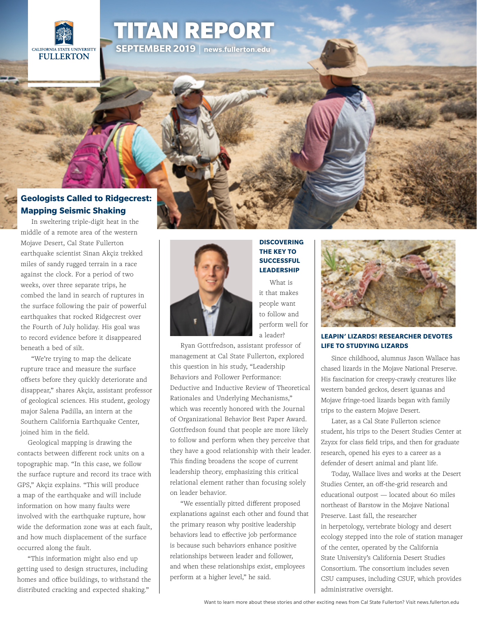

# [TITAN REPORT](http://news.fullerton.edu/2019sp/Comm-Ranking-Hispanic-Outlook.aspx) **SEPTEMBER 2019** | **<news.fullerton.edu>**

## **[Geologists Called to Ridgecrest:](http://news.fullerton.edu/feature/seismic-shaking/)  Mapping Seismic Shaking**

[In sweltering triple-digit heat in the](http://news.fullerton.edu/2019sp/Comm-Ranking-Hispanic-Outlook.aspx)  [middle of a remote area of the western](http://news.fullerton.edu/2019sp/Comm-Ranking-Hispanic-Outlook.aspx)  [Mojave Desert, Cal State Fullerton](http://news.fullerton.edu/2019sp/Comm-Ranking-Hispanic-Outlook.aspx)  [earthquake scientist Sinan Akçiz trekked](http://news.fullerton.edu/2019sp/Comm-Ranking-Hispanic-Outlook.aspx)  [miles of sandy rugged terrain in a race](http://news.fullerton.edu/2019sp/Comm-Ranking-Hispanic-Outlook.aspx)  [against the clock. For a period of two](http://news.fullerton.edu/2019sp/Comm-Ranking-Hispanic-Outlook.aspx)  [weeks, over three separate trips, he](http://news.fullerton.edu/2019sp/Comm-Ranking-Hispanic-Outlook.aspx)  [combed the land in search of ruptures in](http://news.fullerton.edu/2019sp/Comm-Ranking-Hispanic-Outlook.aspx)  [the surface following the pair of powerful](http://news.fullerton.edu/2019sp/Comm-Ranking-Hispanic-Outlook.aspx)  [earthquakes that rocked Ridgecrest over](http://news.fullerton.edu/2019sp/Comm-Ranking-Hispanic-Outlook.aspx)  [the Fourth of July holiday. His goal was](http://news.fullerton.edu/2019sp/Comm-Ranking-Hispanic-Outlook.aspx)  [to record evidence before it disappeared](http://news.fullerton.edu/2019sp/Comm-Ranking-Hispanic-Outlook.aspx)  [beneath a bed of silt.](http://news.fullerton.edu/2019sp/Comm-Ranking-Hispanic-Outlook.aspx) 

["We're trying to map the delicate](http://news.fullerton.edu/2019sp/Comm-Ranking-Hispanic-Outlook.aspx)  [rupture trace and measure the surface](http://news.fullerton.edu/2019sp/Comm-Ranking-Hispanic-Outlook.aspx)  [offsets before they quickly deteriorate and](http://news.fullerton.edu/2019sp/Comm-Ranking-Hispanic-Outlook.aspx)  [disappear," shares Akçiz, assistant professor](http://news.fullerton.edu/2019sp/Comm-Ranking-Hispanic-Outlook.aspx)  [of geological sciences. His student, geology](http://news.fullerton.edu/2019sp/Comm-Ranking-Hispanic-Outlook.aspx)  [major Salena Padilla, an intern at the](http://news.fullerton.edu/2019sp/Comm-Ranking-Hispanic-Outlook.aspx)  [Southern California Earthquake Center,](http://news.fullerton.edu/2019sp/Comm-Ranking-Hispanic-Outlook.aspx)  [joined him in the field.](http://news.fullerton.edu/2019sp/Comm-Ranking-Hispanic-Outlook.aspx)

[Geological mapping is drawing the](http://news.fullerton.edu/2019sp/Comm-Ranking-Hispanic-Outlook.aspx)  [contacts between different rock units on a](http://news.fullerton.edu/2019sp/Comm-Ranking-Hispanic-Outlook.aspx)  [topographic map. "In this case, we follow](http://news.fullerton.edu/2019sp/Comm-Ranking-Hispanic-Outlook.aspx)  [the surface rupture and record its trace with](http://news.fullerton.edu/2019sp/Comm-Ranking-Hispanic-Outlook.aspx)  [GPS," Akçiz explains. "This will produce](http://news.fullerton.edu/2019sp/Comm-Ranking-Hispanic-Outlook.aspx)  [a map of the earthquake and will include](http://news.fullerton.edu/2019sp/Comm-Ranking-Hispanic-Outlook.aspx)  [information on how many faults were](http://news.fullerton.edu/2019sp/Comm-Ranking-Hispanic-Outlook.aspx)  [involved with the earthquake rupture, how](http://news.fullerton.edu/2019sp/Comm-Ranking-Hispanic-Outlook.aspx)  [wide the deformation zone was at each fault,](http://news.fullerton.edu/2019sp/Comm-Ranking-Hispanic-Outlook.aspx)  [and how much displacement of the surface](http://news.fullerton.edu/2019sp/Comm-Ranking-Hispanic-Outlook.aspx)  [occurred along the fault.](http://news.fullerton.edu/2019sp/Comm-Ranking-Hispanic-Outlook.aspx)

["This information might also end up](http://news.fullerton.edu/2019sp/Comm-Ranking-Hispanic-Outlook.aspx)  [getting used to design structures, including](http://news.fullerton.edu/2019sp/Comm-Ranking-Hispanic-Outlook.aspx)  [homes and office buildings, to withstand the](http://news.fullerton.edu/2019sp/Comm-Ranking-Hispanic-Outlook.aspx)  [distributed cracking and expected shaking."](http://news.fullerton.edu/2019sp/Comm-Ranking-Hispanic-Outlook.aspx)**'**



## **[THE KEY TO](http://news.fullerton.edu/2019su/Leadership-Success.aspx)  [SUCCESSFUL](http://news.fullerton.edu/2019su/Leadership-Success.aspx)  [LEADERSHIP](http://news.fullerton.edu/2019su/Leadership-Success.aspx)** [What is](http://news.fullerton.edu/2019su/Leadership-Success.aspx)

**[DISCOVERING](http://news.fullerton.edu/2019su/Leadership-Success.aspx)** 

[it that makes](http://news.fullerton.edu/2019su/Leadership-Success.aspx)  [people want](http://news.fullerton.edu/2019su/Leadership-Success.aspx)  [to follow and](http://news.fullerton.edu/2019su/Leadership-Success.aspx)  [perform well for](http://news.fullerton.edu/2019su/Leadership-Success.aspx)  [a leader?](http://news.fullerton.edu/2019su/Leadership-Success.aspx)

[Ryan Gottfredson, assistant professor of](http://news.fullerton.edu/2019su/Leadership-Success.aspx)  [management at Cal State Fullerton, explored](http://news.fullerton.edu/2019su/Leadership-Success.aspx)  [this question in his study, "Leadership](http://news.fullerton.edu/2019su/Leadership-Success.aspx)  [Behaviors and Follower Performance:](http://news.fullerton.edu/2019su/Leadership-Success.aspx)  [Deductive and Inductive Review of Theoretical](http://news.fullerton.edu/2019su/Leadership-Success.aspx)  [Rationales and Underlying Mechanisms,"](http://news.fullerton.edu/2019su/Leadership-Success.aspx)  [which was recently honored with the Journal](http://news.fullerton.edu/2019su/Leadership-Success.aspx)  [of Organizational Behavior Best Paper Award.](http://news.fullerton.edu/2019su/Leadership-Success.aspx)  [Gottfredson found that people are more likely](http://news.fullerton.edu/2019su/Leadership-Success.aspx)  [to follow and perform when they perceive that](http://news.fullerton.edu/2019su/Leadership-Success.aspx)  [they have a good relationship with their leader.](http://news.fullerton.edu/2019su/Leadership-Success.aspx)  [This finding broadens the scope of current](http://news.fullerton.edu/2019su/Leadership-Success.aspx)  [leadership theory, emphasizing this critical](http://news.fullerton.edu/2019su/Leadership-Success.aspx)  [relational element rather than focusing solely](http://news.fullerton.edu/2019su/Leadership-Success.aspx)  [on leader behavior.](http://news.fullerton.edu/2019su/Leadership-Success.aspx)

["We essentially pitted different proposed](http://news.fullerton.edu/2019su/Leadership-Success.aspx)  [explanations against each other and found that](http://news.fullerton.edu/2019su/Leadership-Success.aspx)  [the primary reason why positive leadership](http://news.fullerton.edu/2019su/Leadership-Success.aspx)  [behaviors lead to effective job performance](http://news.fullerton.edu/2019su/Leadership-Success.aspx)  [is because such behaviors enhance positive](http://news.fullerton.edu/2019su/Leadership-Success.aspx)  [relationships between leader and follower,](http://news.fullerton.edu/2019su/Leadership-Success.aspx)  [and when these relationships exist, employees](http://news.fullerton.edu/2019su/Leadership-Success.aspx)  [perform at a higher level," he said.](http://news.fullerton.edu/2019su/Leadership-Success.aspx)



### **[LEAPIN' LIZARDS! RESEARCHER DEVOTES](http://Leapin’ Lizards! ResearcheR Devotes Life to Studying Lizards Since childhood, alumnus Jason Wallace )  [LIFE TO STUDYING LIZARDS](http://Leapin’ Lizards! ResearcheR Devotes Life to Studying Lizards Since childhood, alumnus Jason Wallace )**

[Since childhood, alumnus Jason Wallace has](http://Leapin’ Lizards! ResearcheR Devotes Life to Studying Lizards Since childhood, alumnus Jason Wallace )  [chased lizards in the Mojave National Preserve.](http://Leapin’ Lizards! ResearcheR Devotes Life to Studying Lizards Since childhood, alumnus Jason Wallace )  [His fascination for creepy-crawly creatures like](http://Leapin’ Lizards! ResearcheR Devotes Life to Studying Lizards Since childhood, alumnus Jason Wallace )  [western banded geckos, desert iguanas and](http://Leapin’ Lizards! ResearcheR Devotes Life to Studying Lizards Since childhood, alumnus Jason Wallace )  [Mojave fringe-toed lizards began with family](http://Leapin’ Lizards! ResearcheR Devotes Life to Studying Lizards Since childhood, alumnus Jason Wallace )  [trips to the eastern Mojave Desert.](http://Leapin’ Lizards! ResearcheR Devotes Life to Studying Lizards Since childhood, alumnus Jason Wallace )

[Later, as a Cal State Fullerton science](http://Leapin’ Lizards! ResearcheR Devotes Life to Studying Lizards Since childhood, alumnus Jason Wallace )  [student, his trips to the Desert Studies Center at](http://Leapin’ Lizards! ResearcheR Devotes Life to Studying Lizards Since childhood, alumnus Jason Wallace )  [Zzyzx for class field trips, and then for graduate](http://Leapin’ Lizards! ResearcheR Devotes Life to Studying Lizards Since childhood, alumnus Jason Wallace )  [research, opened his eyes to a career as a](http://Leapin’ Lizards! ResearcheR Devotes Life to Studying Lizards Since childhood, alumnus Jason Wallace )  [defender of desert animal and plant life.](http://Leapin’ Lizards! ResearcheR Devotes Life to Studying Lizards Since childhood, alumnus Jason Wallace )

[Today, Wallace lives and works at the Desert](http://Leapin’ Lizards! ResearcheR Devotes Life to Studying Lizards Since childhood, alumnus Jason Wallace )  [Studies Center, an off-the-grid research and](http://Leapin’ Lizards! ResearcheR Devotes Life to Studying Lizards Since childhood, alumnus Jason Wallace )  [educational outpost — located about 60 miles](http://Leapin’ Lizards! ResearcheR Devotes Life to Studying Lizards Since childhood, alumnus Jason Wallace )  [northeast of Barstow in the Mojave National](http://Leapin’ Lizards! ResearcheR Devotes Life to Studying Lizards Since childhood, alumnus Jason Wallace )  [Preserve. Last fall, the researcher](http://Leapin’ Lizards! ResearcheR Devotes Life to Studying Lizards Since childhood, alumnus Jason Wallace )  [in herpetology, vertebrate biology and desert](http://Leapin’ Lizards! ResearcheR Devotes Life to Studying Lizards Since childhood, alumnus Jason Wallace )  [ecology stepped into the role of station manager](http://Leapin’ Lizards! ResearcheR Devotes Life to Studying Lizards Since childhood, alumnus Jason Wallace ) [of the center, operated by the California](http://Leapin’ Lizards! ResearcheR Devotes Life to Studying Lizards Since childhood, alumnus Jason Wallace )  [State University's California Desert Studies](http://Leapin’ Lizards! ResearcheR Devotes Life to Studying Lizards Since childhood, alumnus Jason Wallace )  [Consortium. The consortium includes seven](http://Leapin’ Lizards! ResearcheR Devotes Life to Studying Lizards Since childhood, alumnus Jason Wallace )  [CSU campuses, including CSUF, which provides](http://Leapin’ Lizards! ResearcheR Devotes Life to Studying Lizards Since childhood, alumnus Jason Wallace )  [administrative oversight.](http://Leapin’ Lizards! ResearcheR Devotes Life to Studying Lizards Since childhood, alumnus Jason Wallace )